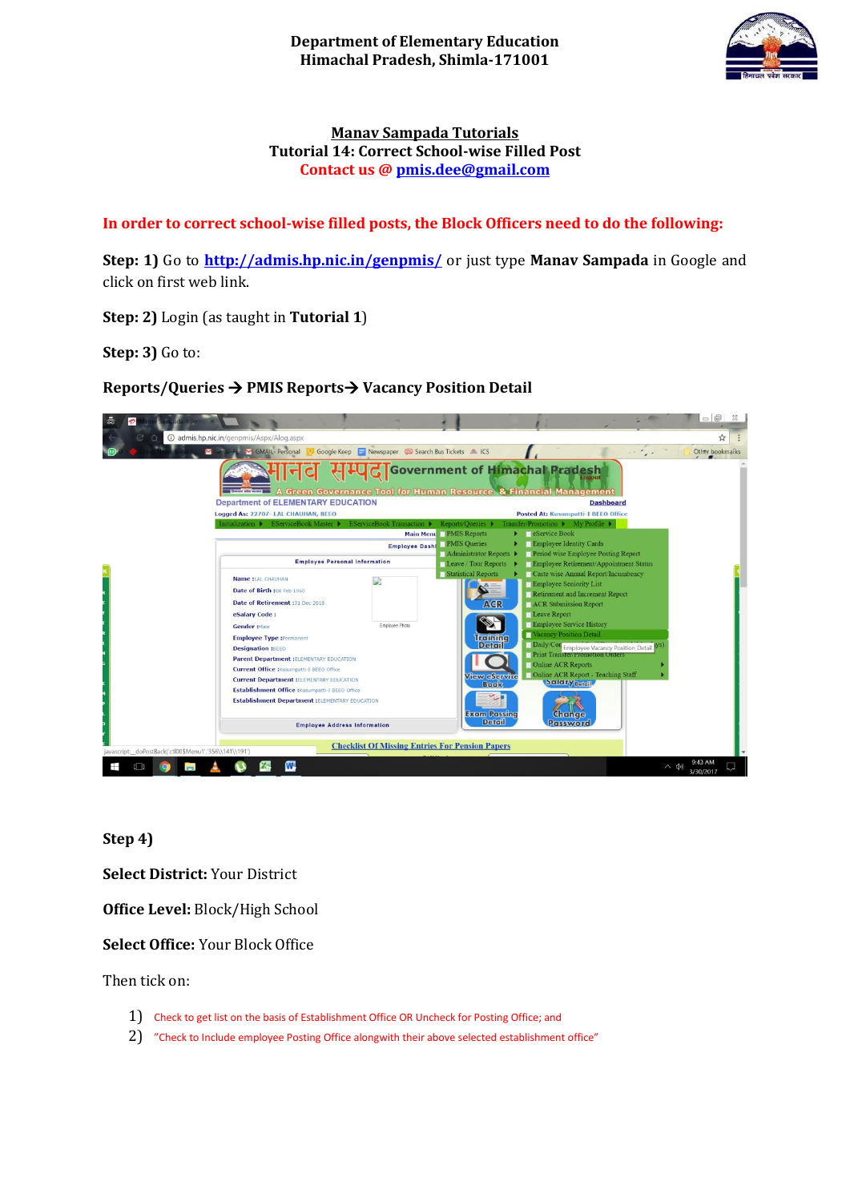

# **Manav Sampada Tutorials Tutorial 14: Correct School-wise Filled Post Contact us [@ pmis.dee@gmail.com](mailto:pmis.dee@gmail.com)**

# **In order to correct school-wise filled posts, the Block Officers need to do the following:**

**Step: 1)** Go to **<http://admis.hp.nic.in/genpmis/>** or just type **Manav Sampada** in Google and click on first web link.

**Step: 2)** Login (as taught in **Tutorial 1**)

**Step: 3)** Go to:

**Reports/Queries PMIS Reports Vacancy Position Detail**



**Step 4)** 

**Select District:** Your District

**Office Level:** Block/High School

**Select Office:** Your Block Office

Then tick on:

- 1) Check to get list on the basis of Establishment Office OR Uncheck for Posting Office; and
- 2) "Check to Include employee Posting Office alongwith their above selected establishment office"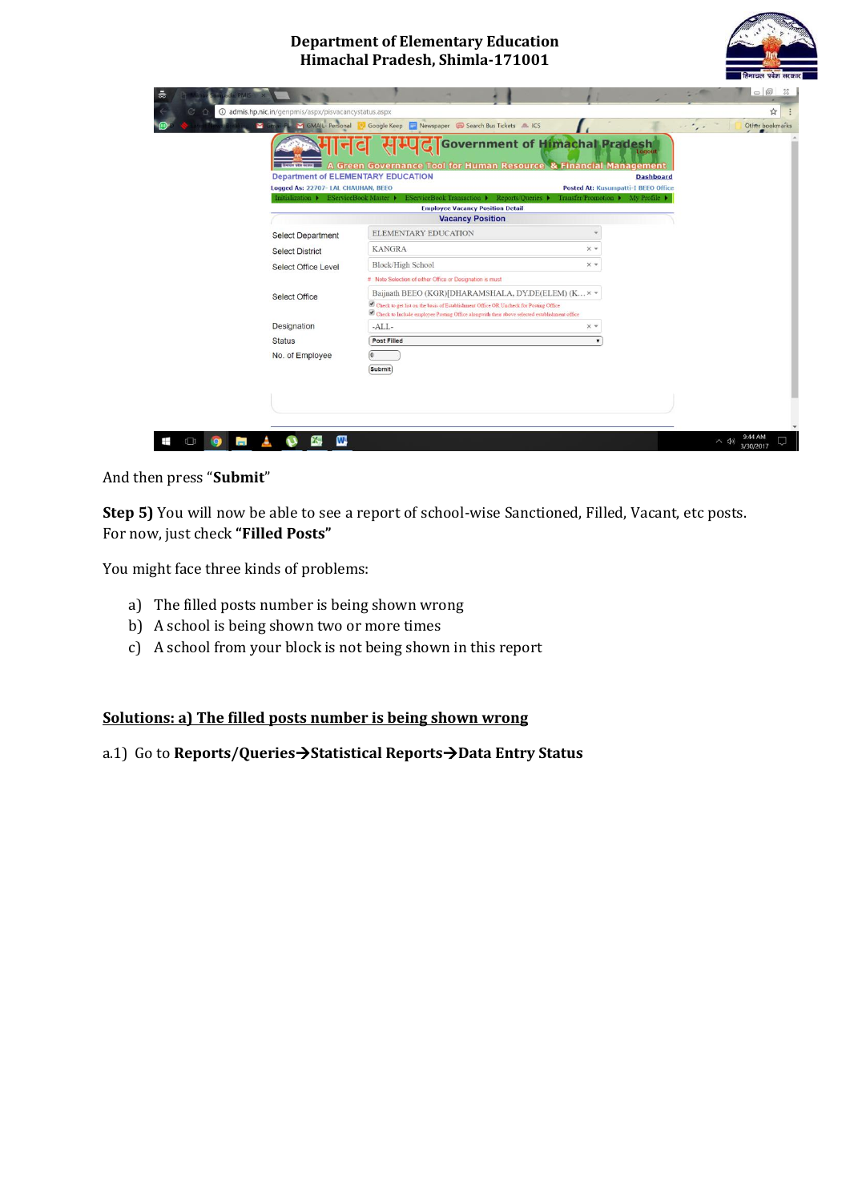## **Department of Elementary Education Himachal Pradesh, Shimla-171001**



|                                                                                  | A Green Governance Tool for Human Resource & Financial Management                                                                                                                    | HHC Government of Himachal Pradesh         | Logout           |  |
|----------------------------------------------------------------------------------|--------------------------------------------------------------------------------------------------------------------------------------------------------------------------------------|--------------------------------------------|------------------|--|
| <b>Department of ELEMENTARY EDUCATION</b><br>Logged As: 22707- LAL CHAUHAN, BEEO |                                                                                                                                                                                      | <b>Posted At: Kusumpatti-I BEEO Office</b> | <b>Dashboard</b> |  |
| Initialization > EServiceBook Master >                                           | EServiceBook Transaction ▶ Reports/Queries ▶                                                                                                                                         | Transfer Promotion ▶ My Profile ▶          |                  |  |
|                                                                                  | <b>Employee Vacancy Position Detail</b><br><b>Vacancy Position</b>                                                                                                                   |                                            |                  |  |
| <b>Select Department</b>                                                         | <b>ELEMENTARY EDUCATION</b>                                                                                                                                                          |                                            |                  |  |
|                                                                                  | <b>KANGRA</b>                                                                                                                                                                        | $\times$ $\overline{\phantom{0}}$          |                  |  |
| <b>Select District</b>                                                           | Block/High School                                                                                                                                                                    | $\times$ $\star$                           |                  |  |
| <b>Select Office Level</b>                                                       | # : Note Selection of either Office or Designation is must                                                                                                                           |                                            |                  |  |
|                                                                                  | Baijnath BEEO (KGR)[DHARAMSHALA, DY.DE(ELEM) (K × *                                                                                                                                  |                                            |                  |  |
| Select Office                                                                    | Check to get list on the basis of Establishment Office OR Uncheck for Posting Office<br>Check to Include employee Posting Office alongwith their above selected establishment office |                                            |                  |  |
| Designation                                                                      | $-ALL-$                                                                                                                                                                              | $\times$ $*$                               |                  |  |
| <b>Status</b>                                                                    | Post Filled                                                                                                                                                                          |                                            |                  |  |
| No. of Employee                                                                  | l0                                                                                                                                                                                   |                                            |                  |  |
|                                                                                  | Submit                                                                                                                                                                               |                                            |                  |  |

And then press "**Submit**"

**Step 5)** You will now be able to see a report of school-wise Sanctioned, Filled, Vacant, etc posts. For now, just check **"Filled Posts"**

You might face three kinds of problems:

- a) The filled posts number is being shown wrong
- b) A school is being shown two or more times
- c) A school from your block is not being shown in this report

## **Solutions: a) The filled posts number is being shown wrong**

## a.1) Go to **Reports/QueriesStatistical ReportsData Entry Status**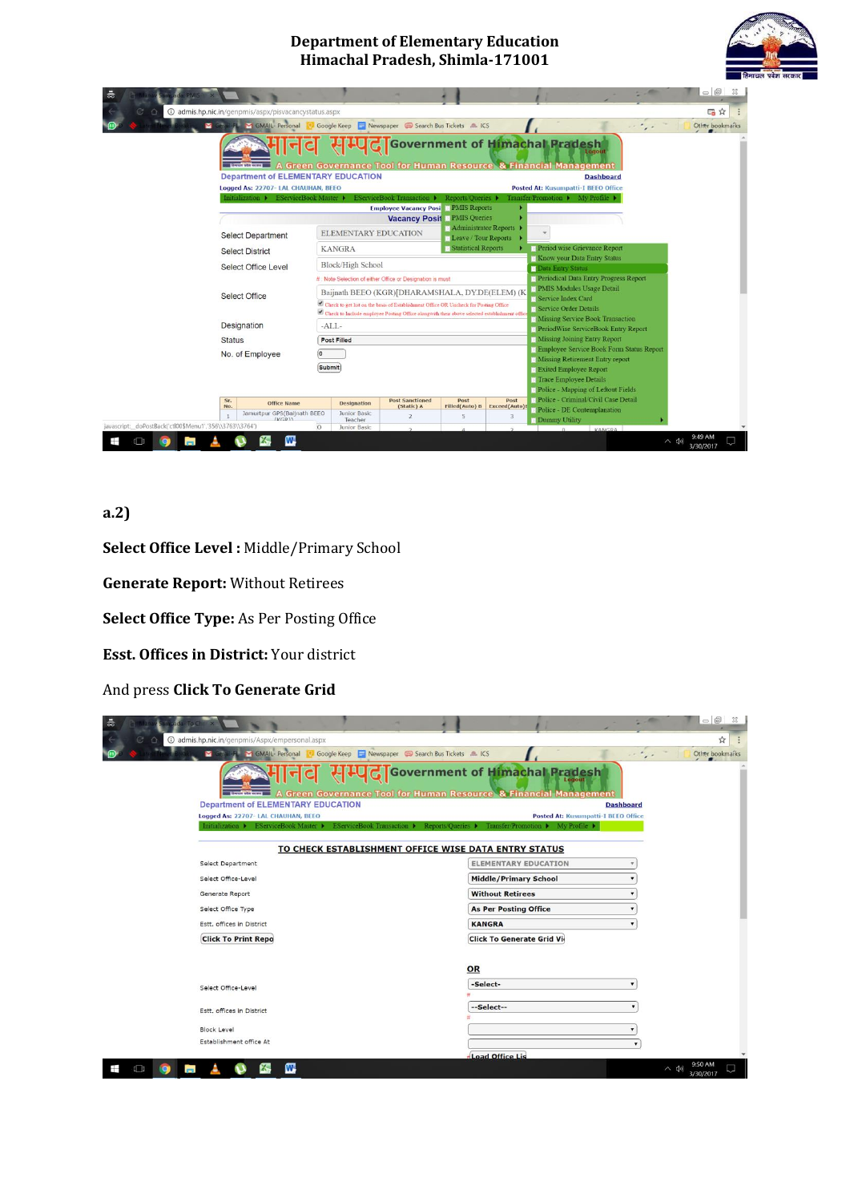#### **Department of Elementary Education Himachal Pradesh, Shimla-171001**





# **a.2)**

**Select Office Level :** Middle/Primary School

**Generate Report:** Without Retirees

**Select Office Type:** As Per Posting Office

**Esst. Offices in District:** Your district

And press **Click To Generate Grid**

| 츪                                                                                                |                                                          | $\circ$ $\circ$<br>23         |  |  |  |
|--------------------------------------------------------------------------------------------------|----------------------------------------------------------|-------------------------------|--|--|--|
| @ admis.hp.nic.in/genpmis/Aspx/empersonal.aspx                                                   |                                                          | ☆                             |  |  |  |
| GMAIL-Personal<br>Google Keep Newspaper Co Search Bus Tickets L ICS<br><b>M</b> Gmail-FL         |                                                          | Other bookmarks               |  |  |  |
| A Green Governance Tool for Human Resource & Financial Management<br><b>Arun yèn menu</b>        | <b>G</b> Government of Himachal Pradesh<br>Logout        |                               |  |  |  |
| <b>Department of ELEMENTARY EDUCATION</b>                                                        | <b>Dashboard</b>                                         |                               |  |  |  |
| Logged As: 22707- LAL CHAUHAN, BEEO                                                              | <b>Posted At: Kusumpatti-I BEEO Office</b>               |                               |  |  |  |
| Initialization > EServiceBook Master ><br><b>EServiceBook Transaction ▶</b><br>Reports/Oueries > | Transfer/Promotion D<br>My Profile $\blacktriangleright$ |                               |  |  |  |
| TO CHECK ESTABLISHMENT OFFICE WISE DATA ENTRY STATUS                                             |                                                          |                               |  |  |  |
| Select Department                                                                                | <b>ELEMENTARY EDUCATION</b>                              |                               |  |  |  |
| Select Office-Level                                                                              | <b>Middle/Primary School</b>                             |                               |  |  |  |
| Generate Report                                                                                  | <b>Without Retirees</b>                                  |                               |  |  |  |
| Select Office Type                                                                               | <b>As Per Posting Office</b>                             |                               |  |  |  |
| Estt. offices in District                                                                        | <b>KANGRA</b>                                            |                               |  |  |  |
| <b>Click To Print Repo</b>                                                                       | <b>Click To Generate Grid Vid</b>                        |                               |  |  |  |
|                                                                                                  |                                                          |                               |  |  |  |
|                                                                                                  | OR                                                       |                               |  |  |  |
| Select Office-Level                                                                              | -Select-                                                 |                               |  |  |  |
|                                                                                                  |                                                          |                               |  |  |  |
| Estt. offices in District                                                                        | --Select--                                               |                               |  |  |  |
| <b>Block Level</b>                                                                               |                                                          |                               |  |  |  |
| Establishment office At                                                                          |                                                          |                               |  |  |  |
|                                                                                                  | <b>Load Office Lis</b>                                   |                               |  |  |  |
| W<br>$\Box$<br>ĸ.<br>m.                                                                          |                                                          | 9:50 AM<br>へ (小)<br>3/30/2017 |  |  |  |